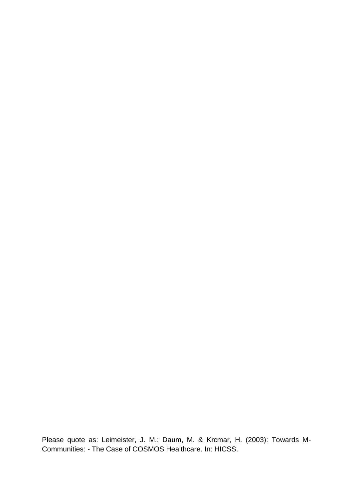Please quote as: Leimeister, J. M.; Daum, M. & Krcmar, H. (2003): Towards M-Communities: - The Case of COSMOS Healthcare. In: HICSS.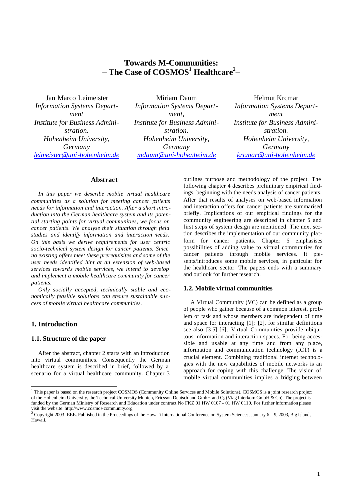# **Towards M-Communities:**   $-$  The Case of COSMOS<sup>1</sup> Healthcare<sup>2</sup> –

Jan Marco Leimeister *Information Systems Department Institute for Business Administration. Hohenheim University, Germany leimeister@uni-hohenheim.de*

Miriam Daum *Information Systems Department, Institute for Business Administration. Hohenheim University, Germany mdaum@uni-hohenheim.de*

Helmut Krcmar *Information Systems Department Institute for Business Administration. Hohenheim University, Germany krcmar@uni-hohenheim.de*

#### **Abstract**

*In this paper we describe mobile virtual healthcare communities as a solution for meeting cancer patients needs for information and interaction. After a short introduction into the German healthcare system and its potential starting points for virtual communities, we focus on cancer patients. We analyse their situation through field studies and identify information and interaction needs. On this basis we derive requirements for user centric socio-technical system design for cancer patients. Since no existing offers meet these prerequisites and some of the user needs identified hint at an extension of web-based services towards mobile services, we intend to develop and implement a mobile healthcare community for cancer patients.*

*Only socially accepted, technically stable and economically feasible solutions can ensure sustainable success of mobile virtual healthcare communities.*

# **1. Introduction**

#### **1.1. Structure of the paper**

After the abstract, chapter 2 starts with an introduction into virtual communities. Consequently the German healthcare system is described in brief, followed by a scenario for a virtual healthcare community. Chapter 3

outlines purpose and methodology of the project. The following chapter 4 describes preliminary empirical findings, beginning with the needs analysis of cancer patients. After that results of analyses on web-based information and interaction offers for cancer patients are summarised briefly. Implications of our empirical findings for the community engineering are described in chapter 5 and first steps of system design are mentioned. The next section describes the implementation of our community platform for cancer patients. Chapter 6 emphasises possibilities of adding value to virtual communities for cancer patients through mobile services. It presents/introduces some mobile services, in particular for the healthcare sector. The papers ends with a summary and outlook for further research.

#### **1.2. Mobile virtual communities**

A Virtual Community (VC) can be defined as a group of people who gather because of a common interest, problem or task and whose members are independent of time and space for interacting [1]; [2], for similar definitions see also [3-5] [6]. Virtual Communities provide ubiquitous information and interaction spaces. For being accessible and usable at any time and from any place, information and communication technology (ICT) is a crucial element. Combining traditional internet technologies with the new capabilities of mobile networks is an approach for coping with this challenge. The vision of mobile virtual communities implies a bridging between

 1 This paper is based on the research project COSMOS (Community Online Services and Mobile Solutions). COSMOS is a joint research project of the Hohenheim University, the Technical University Munich, Ericsson Deutschland GmbH and O<sub>2</sub> (Viag Interkom GmbH & Co). The project is funded by the German Ministry of Research and Education under contract No FKZ 01 HW 0107 - 01 HW 0110. For further information please visit the website: http://www.cosmos-community.org.

<sup>&</sup>lt;sup>2</sup> Copyright 2003 IEEE. Published in the Proceedings of the Hawai'i International Conference on System Sciences, January  $6 - 9$ , 2003, Big Island, Hawaii.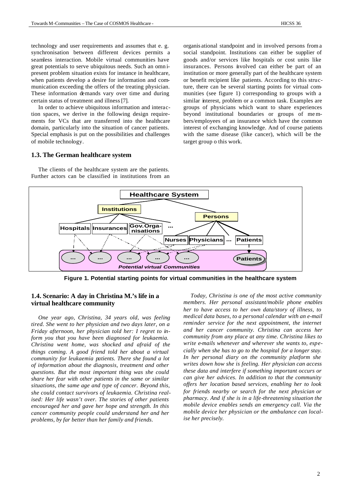technology and user requirements and assumes that e. g. synchronisation between different devices permits a seamless interaction. Mobile virtual communities have great potentials to serve ubiquitous needs. Such an omn ipresent problem situation exists for instance in healthcare, when patients develop a desire for information and communication exceeding the offers of the treating physician. These information demands vary over time and during certain status of treatment and illness [7].

In order to achieve ubiquitous information and interaction spaces, we derive in the following design requirements for VCs that are transferred into the healthcare domain, particularly into the situation of cancer patients. Special emphasis is put on the possibilities and challenges of mobile technology.

organis ational standpoint and in involved persons from a social standpoint. Institutions can either be supplier of goods and/or services like hospitals or cost units like insurances. Persons involved can either be part of an institution or more generally part of the healthcare system or benefit recipient like patients. According to this structure, there can be several starting points for virtual communities (see figure 1) corresponding to groups with a similar interest, problem or a common task. Examples are groups of physicians which want to share experiences beyond institutional boundaries or groups of me mbers/employees of an insurance which have the common interest of exchanging knowledge. And of course patients with the same disease (like cancer), which will be the target group o this work.

#### **1.3. The German healthcare system**

The clients of the healthcare system are the patients. Further actors can be classified in institutions from an



**Figure 1. Potential starting points for virtual communities in the healthcare system**

### **1.4. Scenario: A day in Christina M.'s life in a virtual healthcare community**

*One year ago, Christina, 34 years old, was feeling tired. She went to her physician and two days later, on a Friday afternoon, her physician told her: I regret to inform you that you have been diagnosed for leukaemia. Christina went home, was shocked and afraid of the things coming. A good friend told her about a virtual community for leukaemia patients. There she found a lot of information about the diagnosis, treatment and other questions. But the most important thing was she could share her fear with other patients in the same or similar situations, the same age and type of cancer. Beyond this, she could contact survivors of leukaemia. Christina realised: Her life wasn't over. The stories of other patients encouraged her and gave her hope and strength. In this cancer community people could understand her and her problems, by far better than her family and friends.*

*Today, Christina is one of the most active community members. Her personal assistant/mobile phone enables her to have access to her own data/story of illness, to medical data bases, to a personal calendar with an e-mail reminder service for the next appointment, the internet and her cancer community. Christina can access her community from any place at any time. Christina likes to write e-mails whenever and wherever she wants to, especially when she has to go to the hospital for a longer stay. In her personal diary on the community platform she writes down how she is feeling. Her physician can access these data and interfere if something important occurs or can give her advices. In addition to that the community offers her location based services, enabling her to look for friends nearby or search for the next physician or pharmacy. And if she is in a life-threatening situation the mobile device enables sends an emergency call. Via the mobile device her physician or the ambulance can localise her precisely.*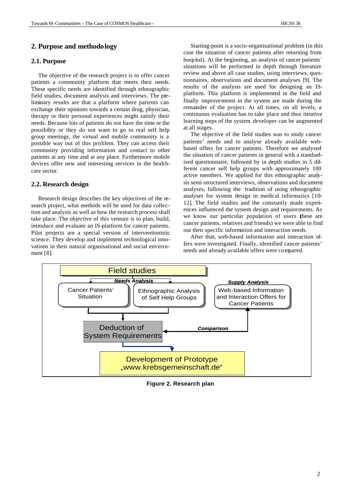#### **2.1. Purpose**

2. **Purpose and methodology**<br>
Starting-point is a setting-point is a setting-point is a setting-point and the search project is to offer cancer<br>
The objective of the research project is to offer cancer<br>
review and above a The objective of the research project is to offer cancer patients a community platform that meets their needs. These specific needs are identified through ethnographic field studies, document analysis and interviews. The preliminary results are that a platform where patients can exchange their opinions towards a certain drug, physician, therapy or their personal experiences might satisfy their needs. Because lots of patients do not have the time or the possibility or they do not want to go to real self help group meetings, the virtual and mobile community is a possible way out of this problem. They can access their community providing information and contact to other patients at any time and at any place. Furthermore mobile devices offer new and interesting services in the healthcare sector.

#### **2.2. Research design**

Research design describes the key objectives of the research project, what methods will be used for data collection and analysis as well as how the research process shall take place. The objective of this venture is to plan, build, introduce and evaluate an IS-platform for cancer patients. Pilot projects are a special version of interventionistic science. They develop and implement technological innovations in their natural organisational and social environment [8].

Starting-point is a socio-organisational problem (in this case the situation of cancer patients after returning from hospital). At the beginning, an analysis of cancer patients situations will be performed in depth through literature review and above all case studies, using interviews, questionnaires, observations and document analyses [9]. The results of the analysis are used for designing an ISplatform. This platform is implemented in the field and finally improvements in the system are made during the remainder of the project. At all times, on all levels, a continuous evaluation has to take place and thus iterative learning steps of the system developer can be augmented at all stages.

The objective of the field studies was to study cancer patients' needs and to analyse already available webbased offers for cancer patients. Therefore we analysed the situation of cancer patients in general with a standardised questionnaire, followed by in depth studies in 5 different cancer self help groups with approximately 100 active members. We applied for this ethnographic analysis semi-structured interviews, observations and document analyses, following the tradition of using ethnographic analyses for system design in medical informatics [10- 12]. The field studies and the constantly made experiences influenced the system design and requirements. As we know our particular population of users these are cancer patients, relatives and friends) we were able to find out their specific information and interaction needs.

After that, web-based information and interaction offers were investigated. Finally, identified cancer patients' needs and already available offers were compared.



**Figure 2. Research plan**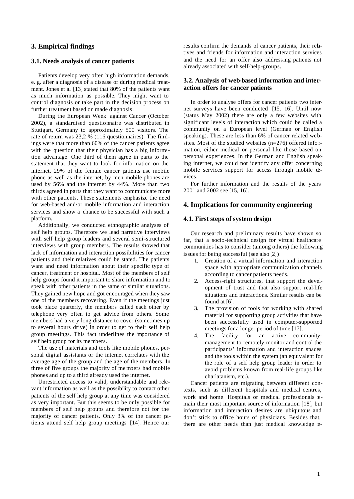#### **3. Empirical findings**

# **3.1. Needs analysis of cancer patients**

Patients develop very often high information demands, e. g. after a diagnosis of a disease or during medical treatment. Jones et al [13] stated that 80% of the patients want as much information as possible. They might want to control diagnosis or take part in the decision process on further treatment based on made diagnosis.

During the European Week against Cancer (October 2002), a standardised questionnaire was distributed in Stuttgart, Germany to approximately 500 visitors. The rate of return was 23,2 % (116 questionnaires). The findings were that more than 60% of the cancer patients agree with the question that their physician has a big information advantage. One third of them agree in parts to the statement that they want to look for information on the internet. 29% of the female cancer patients use mobile phone as well as the internet, by men mobile phones are used by 56% and the internet by 44%. More than two thirds agreed in parts that they want to communicate more with other patients. These statements emphasize the need for web-based and/or mobile information and interaction services and show a chance to be successful with such a platform.

Additionally, we conducted ethnographic analyses of self help groups. Therefore we lead narrative interviews with self help group leaders and several semi-structured interviews with group members. The results showed that lack of information and interaction possibilities for cancer patients and their relatives could be stated. The patients want and need information about their specific type of cancer, treatment or hospital. Most of the members of self help groups found it important to share information and to speak with other patients in the same or similar situations. They gained new hope and got encouraged when they saw one of the members recovering. Even if the meetings just took place quarterly, the members called each other by telephone very often to get advice from others. Some members had a very long distance to cover (sometimes up to several hours drive) in order to get to their self help group meetings. This fact underlines the importance of self help group for its members.

The use of materials and tools like mobile phones, personal digital assistants or the internet correlates with the average age of the group and the age of the members. In three of five groups the majority of me mbers had mobile phones and up to a third already used the internet.

Unrestricted access to valid, understandable and relevant information as well as the possibility to contact other patients of the self help group at any time was considered as very important. But this seems to be only possible for members of self help groups and therefore not for the majority of cancer patients. Only 3% of the cancer patients attend self help group meetings [14]. Hence our

results confirm the demands of cancer patients, their relatives and friends for information and interaction services and the need for an offer also addressing patients not already associated with self-help-groups.

#### **3.2. Analysis of web-based information and interaction offers for cancer patients**

In order to analyse offers for cancer patients two internet surveys have been conducted [15, 16]. Until now (status May 2002) there are only a few websites with significant levels of interaction which could be called a community on a European level (German or English speaking). These are less than 6% of cancer related websites. Most of the studied websites (n=276) offered info rmation, either medical or personal like those based on personal experiences. In the German and English speaking internet, we could not identify any offer concerning mobile services support for access through mobile devices.

For further information and the results of the years 2001 and 2002 see [15, 16].

# **4. Implications for community engineering**

#### **4.1. First steps of system design**

Our research and preliminary results have shown so far, that a socio-technical design for virtual healthcare communities has to consider (among others) the following issues for being successful (see also [2]):

- 1. Creation of a virtual information and interaction space with appropriate communication channels according to cancer patients needs.
- 2. Access-right structures, that support the development of trust and that also support real-life situations and interactions. Similar results can be found at [6].
- 3. The provision of tools for working with shared material for supporting group activities that have been successfully used in computer-supported meetings for a longer period of time [17].
- 4. The facility for an active communitymanagement to remotely monitor and control the participants' information and interaction spaces and the tools within the system (an equivalent for the role of a self help group leader in order to avoid problems known from real-life groups like charlatanism, etc.).

Cancer patients are migrating between different contexts, such as different hospitals and medical centres, work and home. Hospitals or medical professionals **e**main their most important source of information [18], but information and interaction desires are ubiquitous and don't stick to office hours of physicians. Besides that, there are other needs than just medical knowledge e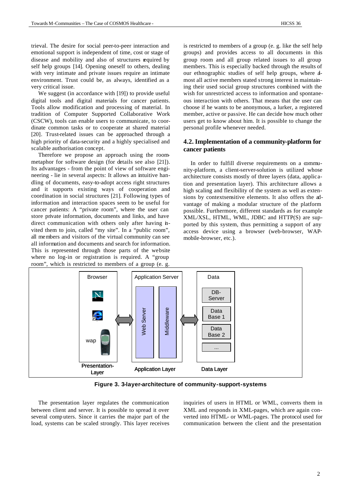trieval. The desire for social peer-to-peer interaction and emotional support is independent of time, cost or stage of disease and mobility and also of structures equired by self help groups [14]. Opening oneself to others, dealing with very intimate and private issues require an intimate environment. Trust could be, as always, identified as a very critical issue.

We suggest (in accordance with [19]) to provide useful digital tools and digital materials for cancer patients. Tools allow modification and processing of material. In tradition of Computer Supported Collaborative Work (CSCW), tools can enable users to communicate, to coordinate common tasks or to cooperate at shared material [20]. Trust-related issues can be approached through a high priority of data-security and a highly specialised and scalable authorisation concept.

Therefore we propose an approach using the roommetaphor for software design (for details see also [21]). Its advantages - from the point of view of software engineering - lie in several aspects: It allows an intuitive handling of documents, easy-to-adopt access right structures and it supports existing ways of cooperation and coordination in social structures [21]. Following types of information and interaction spaces seem to be useful for cancer patients: A "private room", where the user can store private information, documents and links, and have direct communication with others only after having invited them to join, called "my site". In a "public room", all members and visitors of the virtual community can see all information and documents and search for information. This is represented through those parts of the website where no log-in or registration is required. A "group room", which is restricted to members of a group (e. g.

is restricted to members of a group (e. g. like the self help groups) and provides access to all documents in this group room and all group related issues to all group members. This is especially backed through the results of our ethnographic studies of self help groups, where almost all active members stated strong interest in maintaining their used social group structures combined with the wish for unrestricted access to information and spontaneous interaction with others. That means that the user can choose if he wants to be anonymous, a lurker, a registered member, active or passive. He can decide how much other users get to know about him. It is possible to change the personal profile whenever needed.

#### **4.2. Implementation of a community-platform for cancer patients**

In order to fulfill diverse requirements on a community-platform, a client-server-solution is utilized whose architecture consists mostly of three layers (data, application and presentation layer). This architecture allows a high scaling and flexibility of the system as well as extensions by contextsensitive elements. It also offers the advantage of making a modular structure of the platform possible. Furthermore, different standards as for example XML/XSL, HTML, WML, JDBC and HTTP(S) are supported by this system, thus permitting a support of any access device using a browser (web-browser, WAPmobile-browser, etc.).



**Figure 3. 3-layer-architecture of community-support-systems**

The presentation layer regulates the communication between client and server. It is possible to spread it over several comp uters. Since it carries the major part of the load, systems can be scaled strongly. This layer receives inquiries of users in HTML or WML, converts them in XML and responds in XML-pages, which are again converted into HTML- or WML-pages. The protocol used for communication between the client and the presentation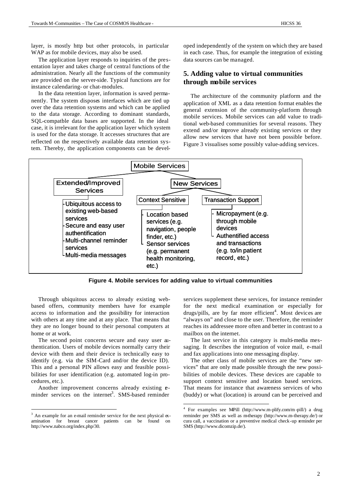layer, is mostly http but other protocols, in particular WAP as for mobile devices, may also be used.

The application layer responds to inquiries of the presentation layer and takes charge of central functions of the administration. Nearly all the functions of the community are provided on the server-side. Typical functions are for instance calendaring- or chat-modules.

In the data retention layer, information is saved permanently. The system disposes interfaces which are tied up over the data retention systems and which can be applied to the data storage. According to dominant standards, SQL-compatble data bases are supported. In the ideal case, it is irrelevant for the application layer which system is used for the data storage. It accesses structures that are reflected on the respectively available data retention system. Thereby, the application components can be developed independently of the system on which they are based in each case. Thus, for example the integration of existing data sources can be managed.

# **5. Adding value to virtual communities through mobile services**

The architecture of the community platform and the application of XML as a data retention format enables the general extension of the community-platform through mobile services. Mobile services can add value to traditional web-based communities for several reasons. They extend and/or improve already existing services or they allow new services that have not been possible before. Figure 3 visualises some possibly value-adding services.



**Figure 4. Mobile services for adding value to virtual communities**

l

Through ubiquitous access to already existing webbased offers, community members have for example access to information and the possibility for interaction with others at any time and at any place. That means that they are no longer bound to their personal computers at home or at work.

The second point concerns secure and easy user authentication. Users of mobile devices normally carry their device with them and their device is technically easy to identify (e.g. via the SIM-Card and/or the device ID). This and a personal PIN allows easy and feasible possibilities for user identification (e.g. automated log-in procedures, etc.).

Another improvement concerns already existing **e**minder services on the internet<sup>3</sup>. SMS-based reminder

l

services supplement these services, for instance reminder for the next medical examination or especially for drugs/pills, are by far more efficient<sup>4</sup>. Most devices are "always on" and close to the user. Therefore, the reminder reaches its addressee more often and better in contrast to a mailbox on the internet.

The last service in this category is multi-media messaging. It describes the integration of voice mail, e-mail and fax applications into one messaging display.

The other class of mobile services are the "new services" that are only made possible through the new possibilities of mobile devices. These devices are capable to support context sensitive and location based services. That means for instance that awareness services of who (buddy) or what (location) is around can be perceived and

 $3$  An example for an e-mail reminder service for the next physical  $\alpha$ amination for breast cancer patients can be found on http://www.nabco.org/index.php/30.

 $4$  For examples see MPill (http://www.m-plify.com/m-pill/) a drug reminder per SMS as well as m-therapy (http://www.m-therapy.de/) or cura call, a vaccination or a preventive medical check-up reminder per SMS (http://www.dicomzip.de/).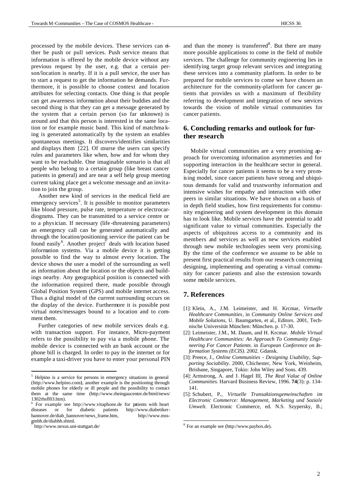processed by the mobile devices. These services can either be push or pull services. Push service means that information is offered by the mobile device without any previous request by the user, e.g. that a certain person/location is nearby. If it is a pull service, the user has to start a request to get the information he demands. Furthermore, it is possible to choose context and location attributes for selecting contacts. One thing is that people can get awareness information about their buddies and the second thing is that they can get a message generated by the system that a certain person (so far unknown) is around and that this person is interested in the same location or for example music band. This kind of matchma king is generated automatically by the system an enables spontaneous meetings. It discovers/identifies similarities and displays them [22]. Of course the users can specify rules and parameters like when, how and for whom they want to be reachable. One imaginable scenario is that all people who belong to a certain group (like breast cancer patients in general) and are near a self help group meeting current taking place get a welcome message and an invitation to join the group.

Another new kind of services in the medical field are emergency services<sup>5</sup>. It is possible to monitor parameters like blood pressure, pulse rate, temperature or electrocardiograms. They can be transmitted to a service centre or to a physician. If necessary (life -threatening parameters) an emergency call can be generated automatically and through the location/positioning service the patient can be found easily<sup>6</sup>. Another project<sup>7</sup> deals with location based information systems. Via a mobile device it is getting possible to find the way to almost every location. The device shows the user a model of the surrounding as well as information about the location or the objects and buildings nearby. Any geographical position is connected with the information required there, made possible through Global Position System (GPS) and mobile internet access. Thus a digital model of the current surrounding occurs on the display of the device. Furthermore it is possible post virtual notes/messages bound to a location and to comment them.

Further categories of new mobile services deals e.g. with transaction support. For instance, Micro-payment refers to the possibility to pay via a mobile phone. The mobile device is connected with an bank account or the phone bill is charged. In order to pay in the internet or for example a taxi-driver you have to enter your personal PIN

l

and than the money is transferred $8$ . But there are many more possible applications to come in the field of mobile services. The challenge for community engineering lies in identifying target group relevant services and integrating these services into a community platform. In order to be prepared for mobile services to come we have chosen an architecture for the community-platform for cancer patients that provides us with a maximum of flexibility referring to development and integration of new services towards the vision of mobile virtual communities for cancer patients.

# **6. Concluding remarks and outlook for further research**

Mobile virtual communities are a very promising approach for overcoming information asymmetries and for supporting interaction in the healthcare sector in general. Especially for cancer patients it seems to be a very promising model, since cancer patients have strong and ubiquitous demands for valid and trustworthy information and intensive wishes for empathy and interaction with other peers in similar situations. We have shown on a basis of in depth field studies, how first requirements for community engineering and system development in this domain has to look like. Mobile services have the potential to add significant value to virtual communities. Especially the aspects of ubiquitous access to a community and its members and services as well as new services enabled through new mobile technologies seem very promising. By the time of the conference we assume to be able to present first practical results from our research concerning designing, implementing and operating a virtual community for cancer patients and also the extension towards some mobile services.

# **7. References**

- [1]: Klein, A., J.M. Leimeister, and H. Krcmar, *Virtuelle Healthcare Communities*, in *Community Online Services and Mobile Solutions*, U. Baumgarten, et al., Editors. 2001, Technische Universität München: München. p. 17-30.
- [2]: Leimeister, J.M., M. Daum, and H. Krcmar. *Mobile Virtual Healthcare Communities: An Approach To Community Engineering For Cancer Patients*. in *European Conference on Information Systems (ECIS)*. 2002. Gdansk.
- [3]: Preece, J., *Online Communities Designing Usability, Supporting Sociability*. 2000, Chichester, New York, Weinheim, Brisbane, Singapore, Tokio: John Wiley and Sons. 439.
- [4]: Armstrong, A. and J. Hagel III, *The Real Value of Online Communities.* Harvard Business Review, 1996. **74**(3): p. 134- 141.
- [5]: Schubert, P., *Virtuelle Transaktionsgemeinschaften im Electronic Commerce: Management, Marketing und Soziale Umwelt*. Electronic Commerce, ed. N.S. Szypersky, B.;

l

<sup>&</sup>lt;sup>5</sup> Helpino is a service for persons in emergency situations in general (http://www.helpino.com/), another example is the positioning through mobile phones for elderly or ill people and the possibility to contact them at the same time (http://www.rheingaucenter.de/html/news/ 1302rhsfl03.htm).

<sup>6</sup> For example see http://www.vitaphone.de for patients with heart diseases or for diabetic patients http://www.diabetikerhannover.de/diab\_hannover/news\_frame.htm, http://www.mssgmbh.de/diabhh.shtml.

http://www.nexus.uni-stuttgart.de/

<sup>8</sup> For an example see (http://www.paybox.de).